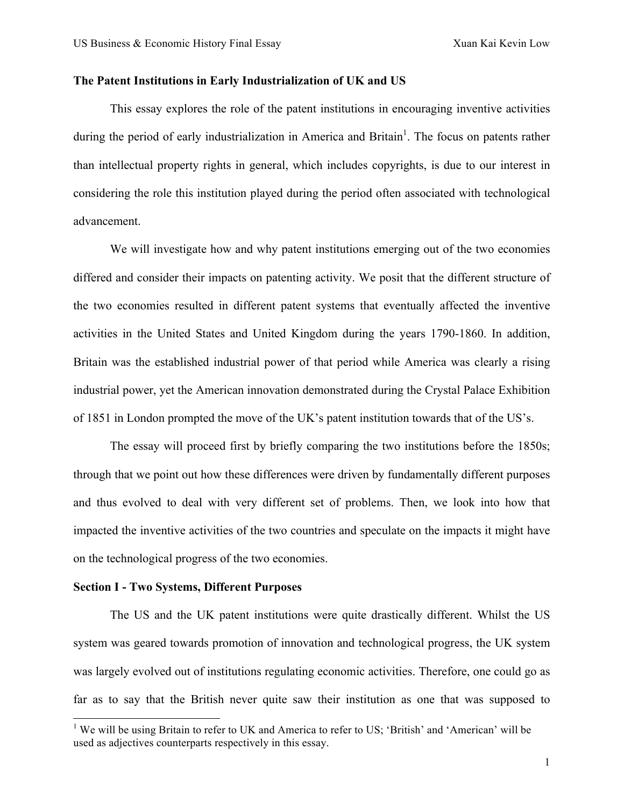### **The Patent Institutions in Early Industrialization of UK and US**

This essay explores the role of the patent institutions in encouraging inventive activities during the period of early industrialization in America and Britain<sup>1</sup>. The focus on patents rather than intellectual property rights in general, which includes copyrights, is due to our interest in considering the role this institution played during the period often associated with technological advancement.

We will investigate how and why patent institutions emerging out of the two economies differed and consider their impacts on patenting activity. We posit that the different structure of the two economies resulted in different patent systems that eventually affected the inventive activities in the United States and United Kingdom during the years 1790-1860. In addition, Britain was the established industrial power of that period while America was clearly a rising industrial power, yet the American innovation demonstrated during the Crystal Palace Exhibition of 1851 in London prompted the move of the UK's patent institution towards that of the US's.

The essay will proceed first by briefly comparing the two institutions before the 1850s; through that we point out how these differences were driven by fundamentally different purposes and thus evolved to deal with very different set of problems. Then, we look into how that impacted the inventive activities of the two countries and speculate on the impacts it might have on the technological progress of the two economies.

#### **Section I - Two Systems, Different Purposes**

The US and the UK patent institutions were quite drastically different. Whilst the US system was geared towards promotion of innovation and technological progress, the UK system was largely evolved out of institutions regulating economic activities. Therefore, one could go as far as to say that the British never quite saw their institution as one that was supposed to

<sup>&</sup>lt;sup>1</sup> We will be using Britain to refer to UK and America to refer to US; 'British' and 'American' will be used as adjectives counterparts respectively in this essay.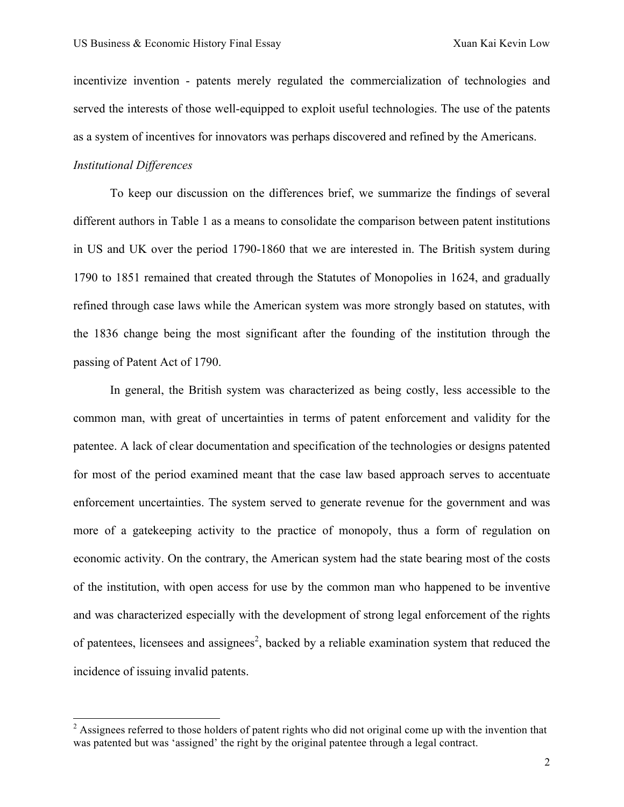incentivize invention - patents merely regulated the commercialization of technologies and served the interests of those well-equipped to exploit useful technologies. The use of the patents as a system of incentives for innovators was perhaps discovered and refined by the Americans.

### *Institutional Differences*

To keep our discussion on the differences brief, we summarize the findings of several different authors in Table 1 as a means to consolidate the comparison between patent institutions in US and UK over the period 1790-1860 that we are interested in. The British system during 1790 to 1851 remained that created through the Statutes of Monopolies in 1624, and gradually refined through case laws while the American system was more strongly based on statutes, with the 1836 change being the most significant after the founding of the institution through the passing of Patent Act of 1790.

In general, the British system was characterized as being costly, less accessible to the common man, with great of uncertainties in terms of patent enforcement and validity for the patentee. A lack of clear documentation and specification of the technologies or designs patented for most of the period examined meant that the case law based approach serves to accentuate enforcement uncertainties. The system served to generate revenue for the government and was more of a gatekeeping activity to the practice of monopoly, thus a form of regulation on economic activity. On the contrary, the American system had the state bearing most of the costs of the institution, with open access for use by the common man who happened to be inventive and was characterized especially with the development of strong legal enforcement of the rights of patentees, licensees and assignees<sup>2</sup>, backed by a reliable examination system that reduced the incidence of issuing invalid patents.

 $2$  Assignees referred to those holders of patent rights who did not original come up with the invention that was patented but was 'assigned' the right by the original patentee through a legal contract.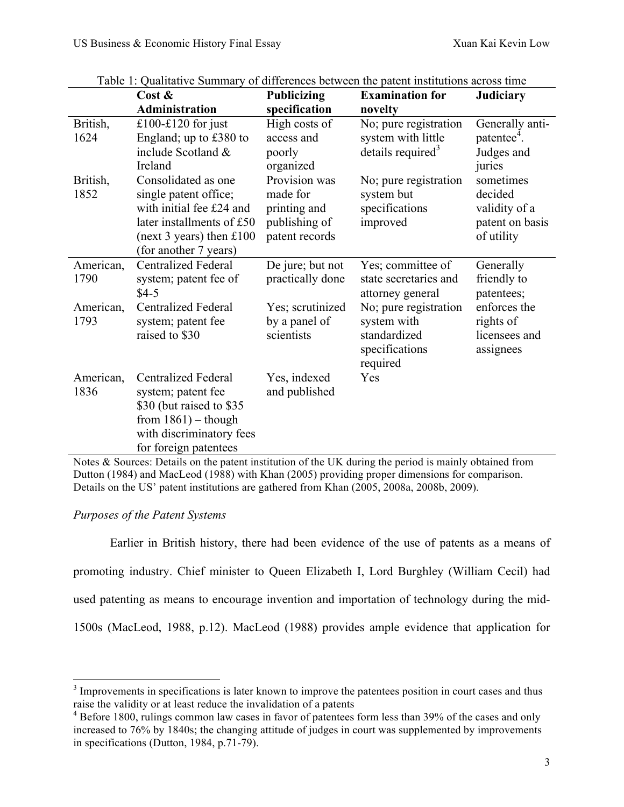|                   | Cost &                                                                                                                                                       | <b>Publicizing</b>                                                           | <b>Examination for</b>                                                             | <b>Judiciary</b>                                                       |
|-------------------|--------------------------------------------------------------------------------------------------------------------------------------------------------------|------------------------------------------------------------------------------|------------------------------------------------------------------------------------|------------------------------------------------------------------------|
|                   | <b>Administration</b>                                                                                                                                        | specification                                                                | novelty                                                                            |                                                                        |
| British,<br>1624  | £100-£120 for just<br>England; up to $£380$ to<br>include Scotland &<br>Ireland                                                                              | High costs of<br>access and<br>poorly<br>organized                           | No; pure registration<br>system with little<br>details required <sup>3</sup>       | Generally anti-<br>patentee <sup>4</sup> .<br>Judges and<br>juries     |
| British,<br>1852  | Consolidated as one<br>single patent office;<br>with initial fee £24 and<br>later installments of £50<br>(next 3 years) then $£100$<br>(for another 7 years) | Provision was<br>made for<br>printing and<br>publishing of<br>patent records | No; pure registration<br>system but<br>specifications<br>improved                  | sometimes<br>decided<br>validity of a<br>patent on basis<br>of utility |
| American,<br>1790 | <b>Centralized Federal</b><br>system; patent fee of<br>$$4-5$                                                                                                | De jure; but not<br>practically done                                         | Yes; committee of<br>state secretaries and<br>attorney general                     | Generally<br>friendly to<br>patentees;                                 |
| American,<br>1793 | <b>Centralized Federal</b><br>system; patent fee<br>raised to \$30                                                                                           | Yes; scrutinized<br>by a panel of<br>scientists                              | No; pure registration<br>system with<br>standardized<br>specifications<br>required | enforces the<br>rights of<br>licensees and<br>assignees                |
| American,<br>1836 | <b>Centralized Federal</b><br>system; patent fee<br>\$30 (but raised to \$35)<br>from $1861$ ) – though<br>with discriminatory fees<br>for foreign patentees | Yes, indexed<br>and published                                                | Yes                                                                                |                                                                        |

Table 1: Qualitative Summary of differences between the patent institutions across time

Notes & Sources: Details on the patent institution of the UK during the period is mainly obtained from Dutton (1984) and MacLeod (1988) with Khan (2005) providing proper dimensions for comparison. Details on the US' patent institutions are gathered from Khan (2005, 2008a, 2008b, 2009).

## *Purposes of the Patent Systems*

Earlier in British history, there had been evidence of the use of patents as a means of promoting industry. Chief minister to Queen Elizabeth I, Lord Burghley (William Cecil) had used patenting as means to encourage invention and importation of technology during the mid-1500s (MacLeod, 1988, p.12). MacLeod (1988) provides ample evidence that application for

<sup>&</sup>lt;sup>3</sup> Improvements in specifications is later known to improve the patentees position in court cases and thus raise the validity or at least reduce the invalidation of a patents

<sup>&</sup>lt;sup>4</sup> Before 1800, rulings common law cases in favor of patentees form less than 39% of the cases and only increased to 76% by 1840s; the changing attitude of judges in court was supplemented by improvements in specifications (Dutton, 1984, p.71-79).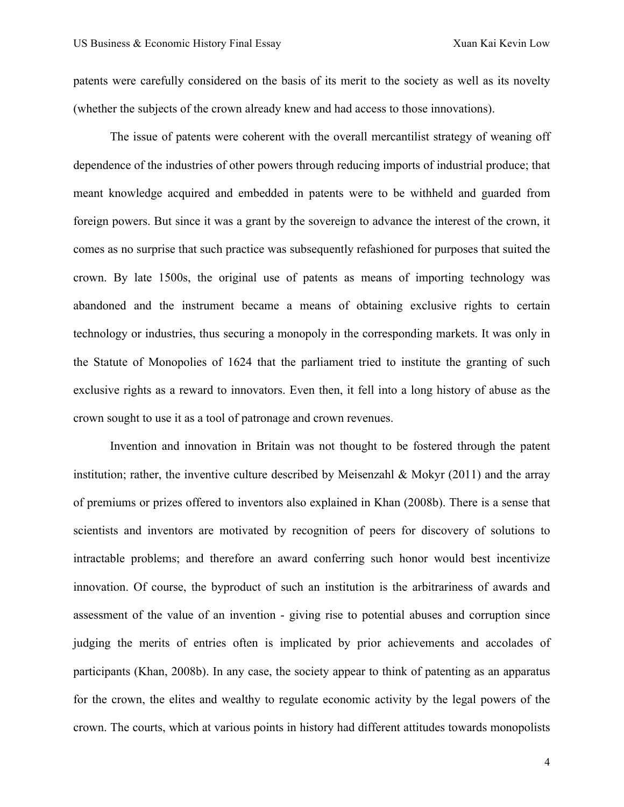patents were carefully considered on the basis of its merit to the society as well as its novelty (whether the subjects of the crown already knew and had access to those innovations).

The issue of patents were coherent with the overall mercantilist strategy of weaning off dependence of the industries of other powers through reducing imports of industrial produce; that meant knowledge acquired and embedded in patents were to be withheld and guarded from foreign powers. But since it was a grant by the sovereign to advance the interest of the crown, it comes as no surprise that such practice was subsequently refashioned for purposes that suited the crown. By late 1500s, the original use of patents as means of importing technology was abandoned and the instrument became a means of obtaining exclusive rights to certain technology or industries, thus securing a monopoly in the corresponding markets. It was only in the Statute of Monopolies of 1624 that the parliament tried to institute the granting of such exclusive rights as a reward to innovators. Even then, it fell into a long history of abuse as the crown sought to use it as a tool of patronage and crown revenues.

Invention and innovation in Britain was not thought to be fostered through the patent institution; rather, the inventive culture described by Meisenzahl & Mokyr  $(2011)$  and the array of premiums or prizes offered to inventors also explained in Khan (2008b). There is a sense that scientists and inventors are motivated by recognition of peers for discovery of solutions to intractable problems; and therefore an award conferring such honor would best incentivize innovation. Of course, the byproduct of such an institution is the arbitrariness of awards and assessment of the value of an invention - giving rise to potential abuses and corruption since judging the merits of entries often is implicated by prior achievements and accolades of participants (Khan, 2008b). In any case, the society appear to think of patenting as an apparatus for the crown, the elites and wealthy to regulate economic activity by the legal powers of the crown. The courts, which at various points in history had different attitudes towards monopolists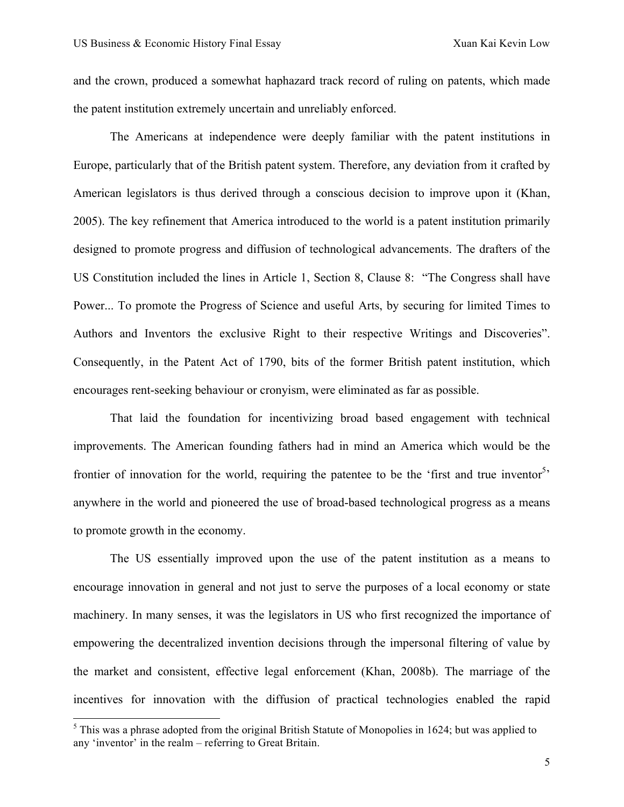and the crown, produced a somewhat haphazard track record of ruling on patents, which made the patent institution extremely uncertain and unreliably enforced.

The Americans at independence were deeply familiar with the patent institutions in Europe, particularly that of the British patent system. Therefore, any deviation from it crafted by American legislators is thus derived through a conscious decision to improve upon it (Khan, 2005). The key refinement that America introduced to the world is a patent institution primarily designed to promote progress and diffusion of technological advancements. The drafters of the US Constitution included the lines in Article 1, Section 8, Clause 8: "The Congress shall have Power... To promote the Progress of Science and useful Arts, by securing for limited Times to Authors and Inventors the exclusive Right to their respective Writings and Discoveries". Consequently, in the Patent Act of 1790, bits of the former British patent institution, which encourages rent-seeking behaviour or cronyism, were eliminated as far as possible.

That laid the foundation for incentivizing broad based engagement with technical improvements. The American founding fathers had in mind an America which would be the frontier of innovation for the world, requiring the patentee to be the 'first and true inventor<sup>5</sup>' anywhere in the world and pioneered the use of broad-based technological progress as a means to promote growth in the economy.

The US essentially improved upon the use of the patent institution as a means to encourage innovation in general and not just to serve the purposes of a local economy or state machinery. In many senses, it was the legislators in US who first recognized the importance of empowering the decentralized invention decisions through the impersonal filtering of value by the market and consistent, effective legal enforcement (Khan, 2008b). The marriage of the incentives for innovation with the diffusion of practical technologies enabled the rapid

 $<sup>5</sup>$  This was a phrase adopted from the original British Statute of Monopolies in 1624; but was applied to</sup> any 'inventor' in the realm – referring to Great Britain.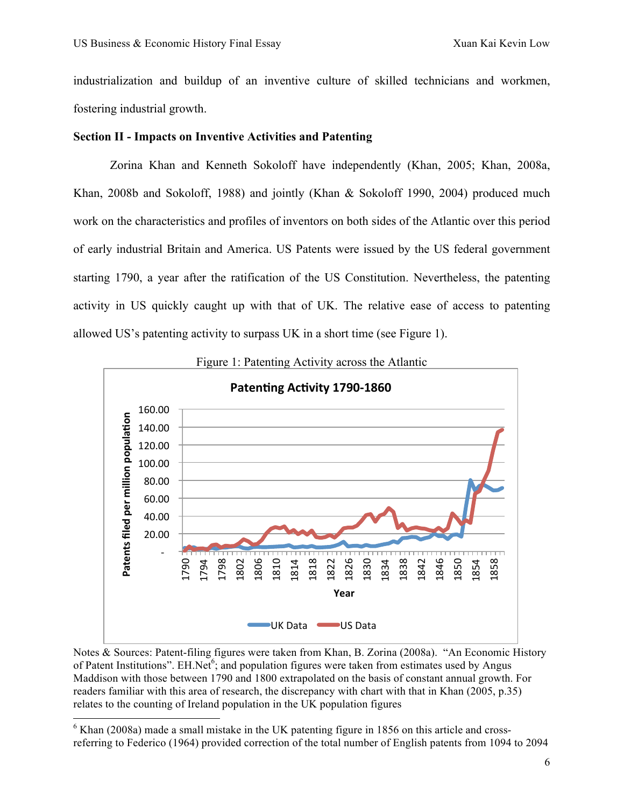industrialization and buildup of an inventive culture of skilled technicians and workmen, fostering industrial growth.

### **Section II - Impacts on Inventive Activities and Patenting**

Zorina Khan and Kenneth Sokoloff have independently (Khan, 2005; Khan, 2008a, Khan, 2008b and Sokoloff, 1988) and jointly (Khan & Sokoloff 1990, 2004) produced much work on the characteristics and profiles of inventors on both sides of the Atlantic over this period of early industrial Britain and America. US Patents were issued by the US federal government starting 1790, a year after the ratification of the US Constitution. Nevertheless, the patenting activity in US quickly caught up with that of UK. The relative ease of access to patenting allowed US's patenting activity to surpass UK in a short time (see Figure 1).



Notes & Sources: Patent-filing figures were taken from Khan, B. Zorina (2008a). "An Economic History of Patent Institutions". EH.Net<sup>6</sup>; and population figures were taken from estimates used by Angus Maddison with those between 1790 and 1800 extrapolated on the basis of constant annual growth. For readers familiar with this area of research, the discrepancy with chart with that in Khan (2005, p.35) relates to the counting of Ireland population in the UK population figures

 $6$  Khan (2008a) made a small mistake in the UK patenting figure in 1856 on this article and crossreferring to Federico (1964) provided correction of the total number of English patents from 1094 to 2094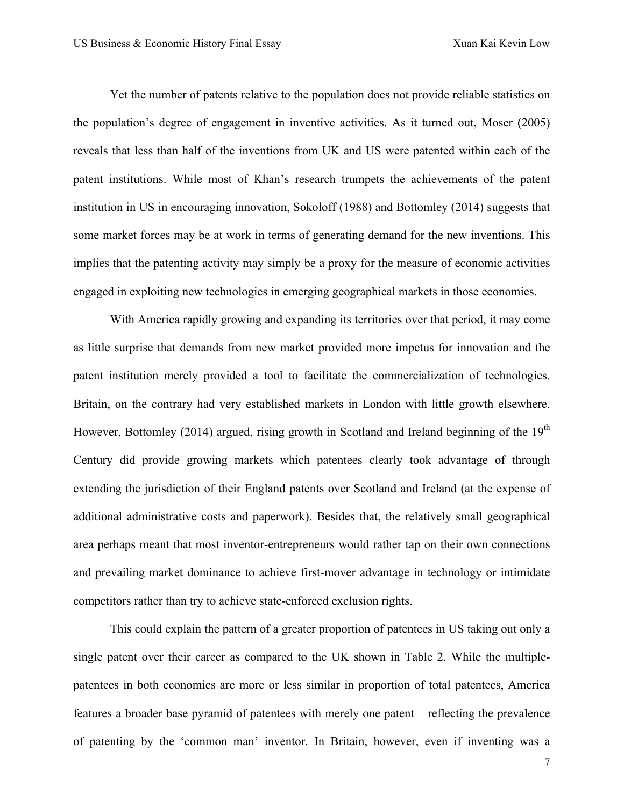Yet the number of patents relative to the population does not provide reliable statistics on the population's degree of engagement in inventive activities. As it turned out, Moser (2005) reveals that less than half of the inventions from UK and US were patented within each of the patent institutions. While most of Khan's research trumpets the achievements of the patent institution in US in encouraging innovation, Sokoloff (1988) and Bottomley (2014) suggests that some market forces may be at work in terms of generating demand for the new inventions. This implies that the patenting activity may simply be a proxy for the measure of economic activities engaged in exploiting new technologies in emerging geographical markets in those economies.

With America rapidly growing and expanding its territories over that period, it may come as little surprise that demands from new market provided more impetus for innovation and the patent institution merely provided a tool to facilitate the commercialization of technologies. Britain, on the contrary had very established markets in London with little growth elsewhere. However, Bottomley (2014) argued, rising growth in Scotland and Ireland beginning of the  $19<sup>th</sup>$ Century did provide growing markets which patentees clearly took advantage of through extending the jurisdiction of their England patents over Scotland and Ireland (at the expense of additional administrative costs and paperwork). Besides that, the relatively small geographical area perhaps meant that most inventor-entrepreneurs would rather tap on their own connections and prevailing market dominance to achieve first-mover advantage in technology or intimidate competitors rather than try to achieve state-enforced exclusion rights.

This could explain the pattern of a greater proportion of patentees in US taking out only a single patent over their career as compared to the UK shown in Table 2. While the multiplepatentees in both economies are more or less similar in proportion of total patentees, America features a broader base pyramid of patentees with merely one patent – reflecting the prevalence of patenting by the 'common man' inventor. In Britain, however, even if inventing was a

7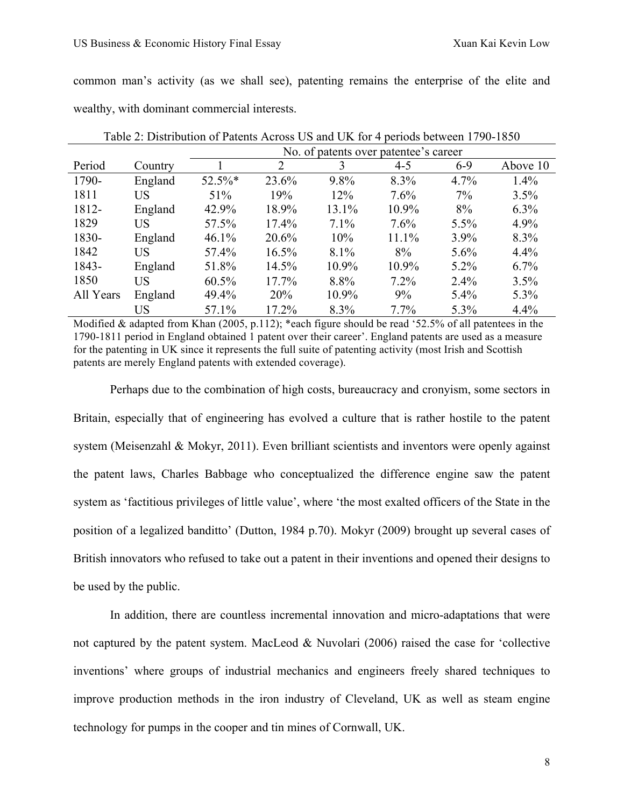common man's activity (as we shall see), patenting remains the enterprise of the elite and wealthy, with dominant commercial interests.

|           |         |           | No. of patents over patentee's career |         |         |         |          |  |  |
|-----------|---------|-----------|---------------------------------------|---------|---------|---------|----------|--|--|
| Period    | Country |           | $\overline{2}$                        | 3       | $4 - 5$ | $6-9$   | Above 10 |  |  |
| 1790-     | England | $52.5\%*$ | 23.6%                                 | $9.8\%$ | 8.3%    | 4.7%    | 1.4%     |  |  |
| 1811      | US      | 51%       | 19%                                   | 12%     | 7.6%    | 7%      | 3.5%     |  |  |
| 1812-     | England | 42.9%     | 18.9%                                 | 13.1%   | 10.9%   | 8%      | 6.3%     |  |  |
| 1829      | US      | 57.5%     | 17.4%                                 | 7.1%    | 7.6%    | 5.5%    | 4.9%     |  |  |
| 1830-     | England | 46.1%     | 20.6%                                 | 10%     | 11.1%   | 3.9%    | 8.3%     |  |  |
| 1842      | US      | 57.4%     | 16.5%                                 | 8.1%    | 8%      | 5.6%    | 4.4%     |  |  |
| 1843-     | England | 51.8%     | 14.5%                                 | 10.9%   | 10.9%   | $5.2\%$ | 6.7%     |  |  |
| 1850      | US      | 60.5%     | 17.7%                                 | 8.8%    | $7.2\%$ | 2.4%    | 3.5%     |  |  |
| All Years | England | 49.4%     | 20%                                   | 10.9%   | 9%      | $5.4\%$ | 5.3%     |  |  |
|           | US      | 57.1%     | 17.2%                                 | 8.3%    | $7.7\%$ | 5.3%    | 4.4%     |  |  |

Table 2: Distribution of Patents Across US and UK for 4 periods between 1790-1850

Modified & adapted from Khan (2005, p.112); \*each figure should be read '52.5% of all patentees in the 1790-1811 period in England obtained 1 patent over their career'. England patents are used as a measure for the patenting in UK since it represents the full suite of patenting activity (most Irish and Scottish patents are merely England patents with extended coverage).

Perhaps due to the combination of high costs, bureaucracy and cronyism, some sectors in Britain, especially that of engineering has evolved a culture that is rather hostile to the patent system (Meisenzahl & Mokyr, 2011). Even brilliant scientists and inventors were openly against the patent laws, Charles Babbage who conceptualized the difference engine saw the patent system as 'factitious privileges of little value', where 'the most exalted officers of the State in the position of a legalized banditto' (Dutton, 1984 p.70). Mokyr (2009) brought up several cases of British innovators who refused to take out a patent in their inventions and opened their designs to be used by the public.

In addition, there are countless incremental innovation and micro-adaptations that were not captured by the patent system. MacLeod & Nuvolari (2006) raised the case for 'collective inventions' where groups of industrial mechanics and engineers freely shared techniques to improve production methods in the iron industry of Cleveland, UK as well as steam engine technology for pumps in the cooper and tin mines of Cornwall, UK.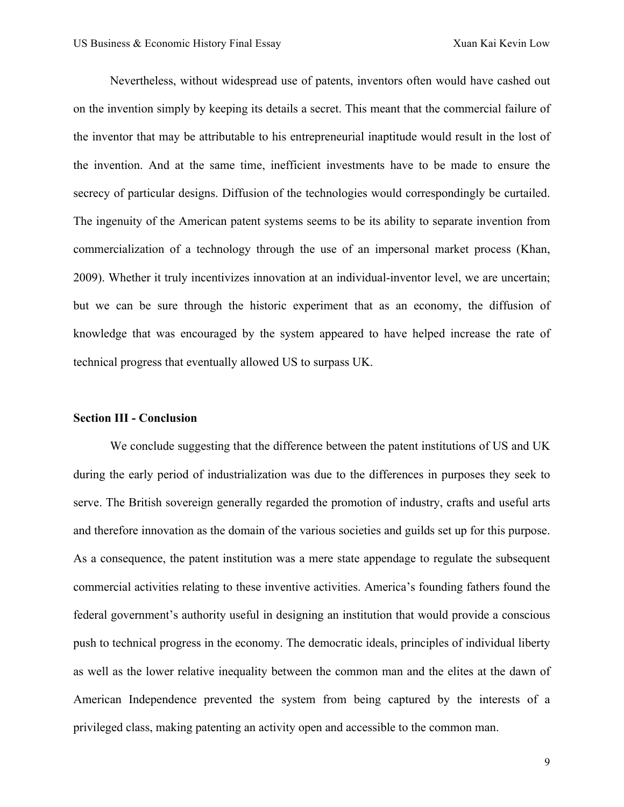Nevertheless, without widespread use of patents, inventors often would have cashed out on the invention simply by keeping its details a secret. This meant that the commercial failure of the inventor that may be attributable to his entrepreneurial inaptitude would result in the lost of the invention. And at the same time, inefficient investments have to be made to ensure the secrecy of particular designs. Diffusion of the technologies would correspondingly be curtailed. The ingenuity of the American patent systems seems to be its ability to separate invention from commercialization of a technology through the use of an impersonal market process (Khan, 2009). Whether it truly incentivizes innovation at an individual-inventor level, we are uncertain; but we can be sure through the historic experiment that as an economy, the diffusion of knowledge that was encouraged by the system appeared to have helped increase the rate of technical progress that eventually allowed US to surpass UK.

### **Section III - Conclusion**

We conclude suggesting that the difference between the patent institutions of US and UK during the early period of industrialization was due to the differences in purposes they seek to serve. The British sovereign generally regarded the promotion of industry, crafts and useful arts and therefore innovation as the domain of the various societies and guilds set up for this purpose. As a consequence, the patent institution was a mere state appendage to regulate the subsequent commercial activities relating to these inventive activities. America's founding fathers found the federal government's authority useful in designing an institution that would provide a conscious push to technical progress in the economy. The democratic ideals, principles of individual liberty as well as the lower relative inequality between the common man and the elites at the dawn of American Independence prevented the system from being captured by the interests of a privileged class, making patenting an activity open and accessible to the common man.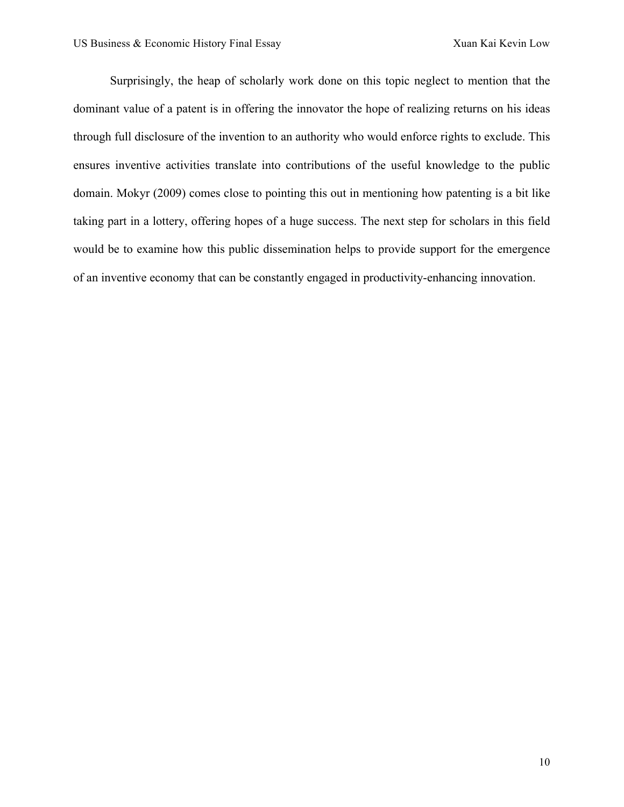Surprisingly, the heap of scholarly work done on this topic neglect to mention that the dominant value of a patent is in offering the innovator the hope of realizing returns on his ideas through full disclosure of the invention to an authority who would enforce rights to exclude. This ensures inventive activities translate into contributions of the useful knowledge to the public domain. Mokyr (2009) comes close to pointing this out in mentioning how patenting is a bit like taking part in a lottery, offering hopes of a huge success. The next step for scholars in this field would be to examine how this public dissemination helps to provide support for the emergence of an inventive economy that can be constantly engaged in productivity-enhancing innovation.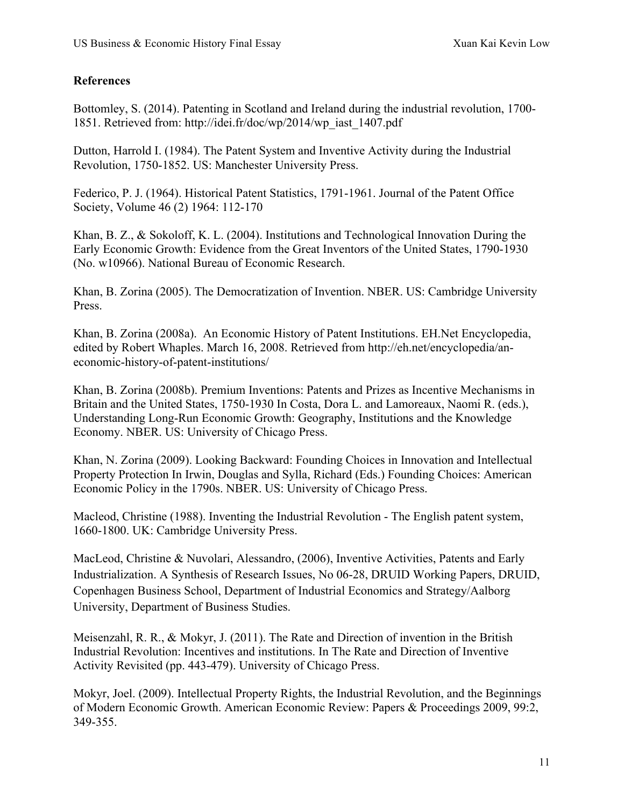# **References**

Bottomley, S. (2014). Patenting in Scotland and Ireland during the industrial revolution, 1700- 1851. Retrieved from: http://idei.fr/doc/wp/2014/wp\_iast\_1407.pdf

Dutton, Harrold I. (1984). The Patent System and Inventive Activity during the Industrial Revolution, 1750-1852. US: Manchester University Press.

Federico, P. J. (1964). Historical Patent Statistics, 1791-1961. Journal of the Patent Office Society, Volume 46 (2) 1964: 112-170

Khan, B. Z., & Sokoloff, K. L. (2004). Institutions and Technological Innovation During the Early Economic Growth: Evidence from the Great Inventors of the United States, 1790-1930 (No. w10966). National Bureau of Economic Research.

Khan, B. Zorina (2005). The Democratization of Invention. NBER. US: Cambridge University Press.

Khan, B. Zorina (2008a). An Economic History of Patent Institutions. EH.Net Encyclopedia, edited by Robert Whaples. March 16, 2008. Retrieved from http://eh.net/encyclopedia/aneconomic-history-of-patent-institutions/

Khan, B. Zorina (2008b). Premium Inventions: Patents and Prizes as Incentive Mechanisms in Britain and the United States, 1750-1930 In Costa, Dora L. and Lamoreaux, Naomi R. (eds.), Understanding Long-Run Economic Growth: Geography, Institutions and the Knowledge Economy. NBER. US: University of Chicago Press.

Khan, N. Zorina (2009). Looking Backward: Founding Choices in Innovation and Intellectual Property Protection In Irwin, Douglas and Sylla, Richard (Eds.) Founding Choices: American Economic Policy in the 1790s. NBER. US: University of Chicago Press.

Macleod, Christine (1988). Inventing the Industrial Revolution - The English patent system, 1660-1800. UK: Cambridge University Press.

MacLeod, Christine & Nuvolari, Alessandro, (2006), Inventive Activities, Patents and Early Industrialization. A Synthesis of Research Issues, No 06-28, DRUID Working Papers, DRUID, Copenhagen Business School, Department of Industrial Economics and Strategy/Aalborg University, Department of Business Studies.

Meisenzahl, R. R., & Mokyr, J. (2011). The Rate and Direction of invention in the British Industrial Revolution: Incentives and institutions. In The Rate and Direction of Inventive Activity Revisited (pp. 443-479). University of Chicago Press.

Mokyr, Joel. (2009). Intellectual Property Rights, the Industrial Revolution, and the Beginnings of Modern Economic Growth. American Economic Review: Papers & Proceedings 2009, 99:2, 349-355.